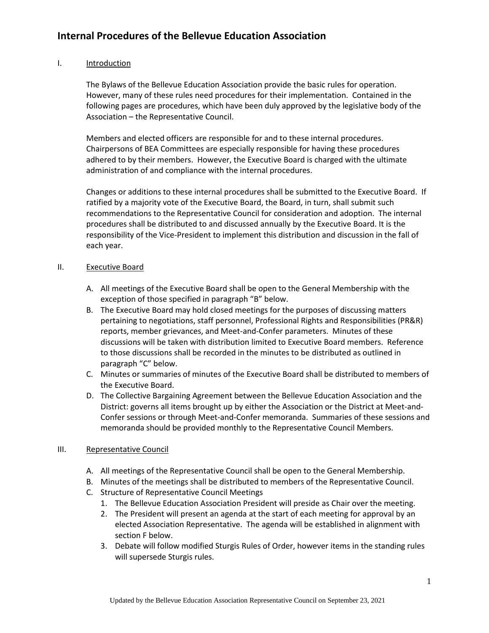I. Introduction

The Bylaws of the Bellevue Education Association provide the basic rules for operation. However, many of these rules need procedures for their implementation. Contained in the following pages are procedures, which have been duly approved by the legislative body of the Association – the Representative Council.

Members and elected officers are responsible for and to these internal procedures. Chairpersons of BEA Committees are especially responsible for having these procedures adhered to by their members. However, the Executive Board is charged with the ultimate administration of and compliance with the internal procedures.

Changes or additions to these internal procedures shall be submitted to the Executive Board. If ratified by a majority vote of the Executive Board, the Board, in turn, shall submit such recommendations to the Representative Council for consideration and adoption. The internal procedures shall be distributed to and discussed annually by the Executive Board. It is the responsibility of the Vice-President to implement this distribution and discussion in the fall of each year.

#### II. Executive Board

- A. All meetings of the Executive Board shall be open to the General Membership with the exception of those specified in paragraph "B" below.
- B. The Executive Board may hold closed meetings for the purposes of discussing matters pertaining to negotiations, staff personnel, Professional Rights and Responsibilities (PR&R) reports, member grievances, and Meet-and-Confer parameters. Minutes of these discussions will be taken with distribution limited to Executive Board members. Reference to those discussions shall be recorded in the minutes to be distributed as outlined in paragraph "C" below.
- C. Minutes or summaries of minutes of the Executive Board shall be distributed to members of the Executive Board.
- D. The Collective Bargaining Agreement between the Bellevue Education Association and the District: governs all items brought up by either the Association or the District at Meet-and-Confer sessions or through Meet-and-Confer memoranda. Summaries of these sessions and memoranda should be provided monthly to the Representative Council Members.

### III. Representative Council

- A. All meetings of the Representative Council shall be open to the General Membership.
- B. Minutes of the meetings shall be distributed to members of the Representative Council.
- C. Structure of Representative Council Meetings
	- 1. The Bellevue Education Association President will preside as Chair over the meeting.
	- 2. The President will present an agenda at the start of each meeting for approval by an elected Association Representative. The agenda will be established in alignment with section F below.
	- 3. Debate will follow modified Sturgis Rules of Order, however items in the standing rules will supersede Sturgis rules.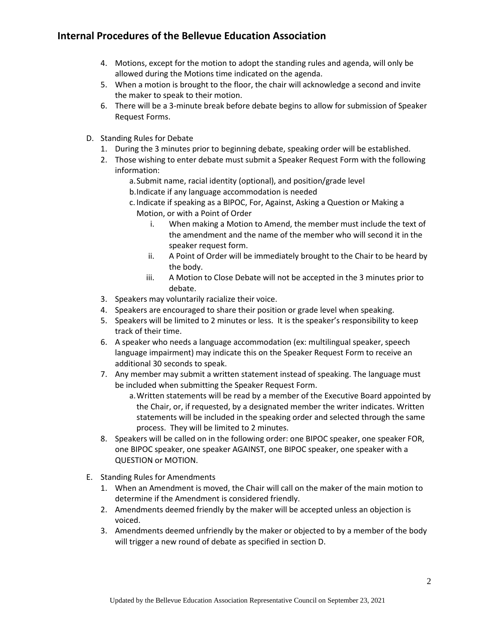- 4. Motions, except for the motion to adopt the standing rules and agenda, will only be allowed during the Motions time indicated on the agenda.
- 5. When a motion is brought to the floor, the chair will acknowledge a second and invite the maker to speak to their motion.
- 6. There will be a 3-minute break before debate begins to allow for submission of Speaker Request Forms.
- D. Standing Rules for Debate
	- 1. During the 3 minutes prior to beginning debate, speaking order will be established.
	- 2. Those wishing to enter debate must submit a Speaker Request Form with the following information:
		- a.Submit name, racial identity (optional), and position/grade level
		- b.Indicate if any language accommodation is needed
		- c. Indicate if speaking as a BIPOC, For, Against, Asking a Question or Making a Motion, or with a Point of Order
			- i. When making a Motion to Amend, the member must include the text of the amendment and the name of the member who will second it in the speaker request form.
			- ii. A Point of Order will be immediately brought to the Chair to be heard by the body.
			- iii. A Motion to Close Debate will not be accepted in the 3 minutes prior to debate.
	- 3. Speakers may voluntarily racialize their voice.
	- 4. Speakers are encouraged to share their position or grade level when speaking.
	- 5. Speakers will be limited to 2 minutes or less. It is the speaker's responsibility to keep track of their time.
	- 6. A speaker who needs a language accommodation (ex: multilingual speaker, speech language impairment) may indicate this on the Speaker Request Form to receive an additional 30 seconds to speak.
	- 7. Any member may submit a written statement instead of speaking. The language must be included when submitting the Speaker Request Form.
		- a.Written statements will be read by a member of the Executive Board appointed by the Chair, or, if requested, by a designated member the writer indicates. Written statements will be included in the speaking order and selected through the same process. They will be limited to 2 minutes.
	- 8. Speakers will be called on in the following order: one BIPOC speaker, one speaker FOR, one BIPOC speaker, one speaker AGAINST, one BIPOC speaker, one speaker with a QUESTION or MOTION.
- E. Standing Rules for Amendments
	- 1. When an Amendment is moved, the Chair will call on the maker of the main motion to determine if the Amendment is considered friendly.
	- 2. Amendments deemed friendly by the maker will be accepted unless an objection is voiced.
	- 3. Amendments deemed unfriendly by the maker or objected to by a member of the body will trigger a new round of debate as specified in section D.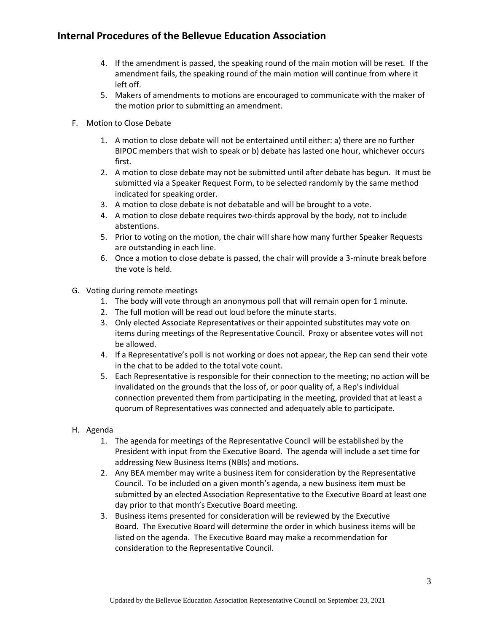- 4. If the amendment is passed, the speaking round of the main motion will be reset. If the amendment fails, the speaking round of the main motion will continue from where it left off.
- 5. Makers of amendments to motions are encouraged to communicate with the maker of the motion prior to submitting an amendment.
- F. Motion to Close Debate
	- 1. A motion to close debate will not be entertained until either: a) there are no further BIPOC members that wish to speak or b) debate has lasted one hour, whichever occurs first.
	- 2. A motion to close debate may not be submitted until after debate has begun. It must be submitted via a Speaker Request Form, to be selected randomly by the same method indicated for speaking order.
	- 3. A motion to close debate is not debatable and will be brought to a vote.
	- 4. A motion to close debate requires two-thirds approval by the body, not to include abstentions.
	- 5. Prior to voting on the motion, the chair will share how many further Speaker Requests are outstanding in each line.
	- 6. Once a motion to close debate is passed, the chair will provide a 3-minute break before the vote is held.
- G. Voting during remote meetings
	- 1. The body will vote through an anonymous poll that will remain open for 1 minute.
	- 2. The full motion will be read out loud before the minute starts.
	- 3. Only elected Associate Representatives or their appointed substitutes may vote on items during meetings of the Representative Council. Proxy or absentee votes will not be allowed.
	- 4. If a Representative's poll is not working or does not appear, the Rep can send their vote in the chat to be added to the total vote count.
	- 5. Each Representative is responsible for their connection to the meeting; no action will be invalidated on the grounds that the loss of, or poor quality of, a Rep's individual connection prevented them from participating in the meeting, provided that at least a quorum of Representatives was connected and adequately able to participate.
- H. Agenda
	- 1. The agenda for meetings of the Representative Council will be established by the President with input from the Executive Board. The agenda will include a set time for addressing New Business Items (NBIs) and motions.
	- 2. Any BEA member may write a business item for consideration by the Representative Council. To be included on a given month's agenda, a new business item must be submitted by an elected Association Representative to the Executive Board at least one day prior to that month's Executive Board meeting.
	- 3. Business items presented for consideration will be reviewed by the Executive Board. The Executive Board will determine the order in which business items will be listed on the agenda. The Executive Board may make a recommendation for consideration to the Representative Council.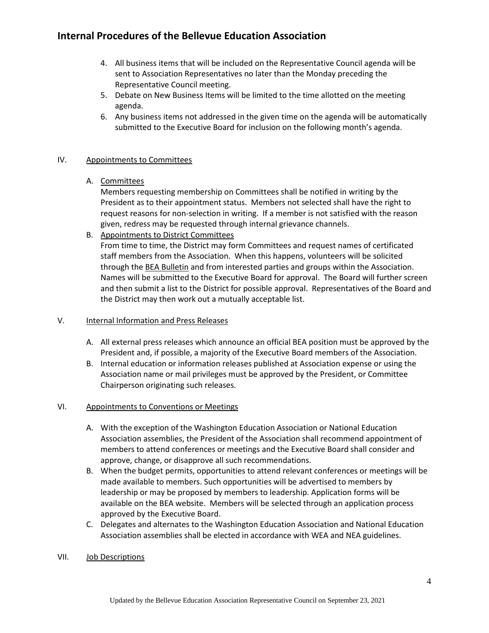- 4. All business items that will be included on the Representative Council agenda will be sent to Association Representatives no later than the Monday preceding the Representative Council meeting.
- 5. Debate on New Business Items will be limited to the time allotted on the meeting agenda.
- 6. Any business items not addressed in the given time on the agenda will be automatically submitted to the Executive Board for inclusion on the following month's agenda.

#### IV. Appointments to Committees

#### A. Committees

Members requesting membership on Committees shall be notified in writing by the President as to their appointment status. Members not selected shall have the right to request reasons for non-selection in writing. If a member is not satisfied with the reason given, redress may be requested through internal grievance channels.

B. Appointments to District Committees

From time to time, the District may form Committees and request names of certificated staff members from the Association. When this happens, volunteers will be solicited through the **BEA Bulletin** and from interested parties and groups within the Association. Names will be submitted to the Executive Board for approval. The Board will further screen and then submit a list to the District for possible approval. Representatives of the Board and the District may then work out a mutually acceptable list.

### V. Internal Information and Press Releases

- A. All external press releases which announce an official BEA position must be approved by the President and, if possible, a majority of the Executive Board members of the Association.
- B. Internal education or information releases published at Association expense or using the Association name or mail privileges must be approved by the President, or Committee Chairperson originating such releases.

### VI. Appointments to Conventions or Meetings

- A. With the exception of the Washington Education Association or National Education Association assemblies, the President of the Association shall recommend appointment of members to attend conferences or meetings and the Executive Board shall consider and approve, change, or disapprove all such recommendations.
- B. When the budget permits, opportunities to attend relevant conferences or meetings will be made available to members. Such opportunities will be advertised to members by leadership or may be proposed by members to leadership. Application forms will be available on the BEA website. Members will be selected through an application process approved by the Executive Board.
- C. Delegates and alternates to the Washington Education Association and National Education Association assemblies shall be elected in accordance with WEA and NEA guidelines.

#### VII. Job Descriptions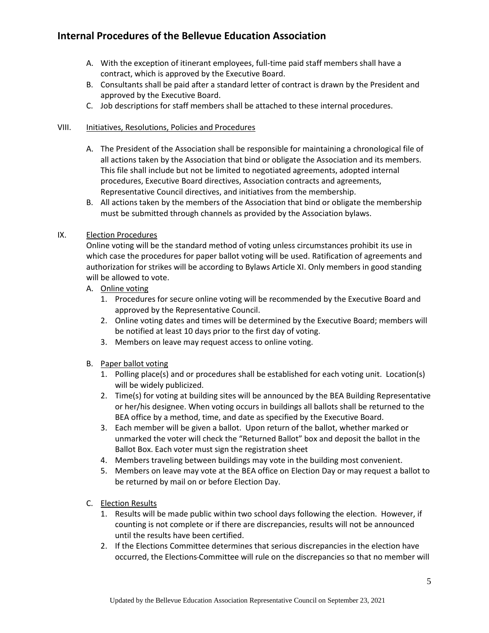- A. With the exception of itinerant employees, full-time paid staff members shall have a contract, which is approved by the Executive Board.
- B. Consultants shall be paid after a standard letter of contract is drawn by the President and approved by the Executive Board.
- C. Job descriptions for staff members shall be attached to these internal procedures.

#### VIII. Initiatives, Resolutions, Policies and Procedures

- A. The President of the Association shall be responsible for maintaining a chronological file of all actions taken by the Association that bind or obligate the Association and its members. This file shall include but not be limited to negotiated agreements, adopted internal procedures, Executive Board directives, Association contracts and agreements, Representative Council directives, and initiatives from the membership.
- B. All actions taken by the members of the Association that bind or obligate the membership must be submitted through channels as provided by the Association bylaws.

#### IX. Election Procedures

Online voting will be the standard method of voting unless circumstances prohibit its use in which case the procedures for paper ballot voting will be used. Ratification of agreements and authorization for strikes will be according to Bylaws Article XI. Only members in good standing will be allowed to vote.

- A. Online voting
	- 1. Procedures for secure online voting will be recommended by the Executive Board and approved by the Representative Council.
	- 2. Online voting dates and times will be determined by the Executive Board; members will be notified at least 10 days prior to the first day of voting.
	- 3. Members on leave may request access to online voting.
- B. Paper ballot voting
	- 1. Polling place(s) and or procedures shall be established for each voting unit. Location(s) will be widely publicized.
	- 2. Time(s) for voting at building sites will be announced by the BEA Building Representative or her/his designee. When voting occurs in buildings all ballots shall be returned to the BEA office by a method, time, and date as specified by the Executive Board.
	- 3. Each member will be given a ballot. Upon return of the ballot, whether marked or unmarked the voter will check the "Returned Ballot" box and deposit the ballot in the Ballot Box. Each voter must sign the registration sheet
	- 4. Members traveling between buildings may vote in the building most convenient.
	- 5. Members on leave may vote at the BEA office on Election Day or may request a ballot to be returned by mail on or before Election Day.
- C. Election Results
	- 1. Results will be made public within two school days following the election. However, if counting is not complete or if there are discrepancies, results will not be announced until the results have been certified.
	- 2. If the Elections Committee determines that serious discrepancies in the election have occurred, the Elections Committee will rule on the discrepancies so that no member will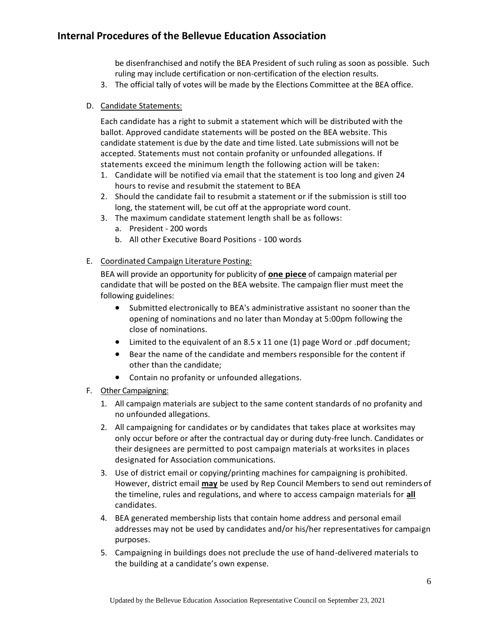be disenfranchised and notify the BEA President of such ruling as soon as possible. Such ruling may include certification or non-certification of the election results.

- 3. The official tally of votes will be made by the Elections Committee at the BEA office.
- D. Candidate Statements:

Each candidate has a right to submit a statement which will be distributed with the ballot. Approved candidate statements will be posted on the BEA website. This candidate statement is due by the date and time listed. Late submissions will not be accepted. Statements must not contain profanity or unfounded allegations. If statements exceed the minimum length the following action will be taken:

- 1. Candidate will be notified via email that the statement is too long and given 24 hours to revise and resubmit the statement to BEA
- 2. Should the candidate fail to resubmit a statement or if the submission is still too long, the statement will, be cut off at the appropriate word count.
- 3. The maximum candidate statement length shall be as follows:
	- a. President 200 words
	- b. All other Executive Board Positions 100 words
- E. Coordinated Campaign Literature Posting:

BEA will provide an opportunity for publicity of **one piece** of campaign material per candidate that will be posted on the BEA website. The campaign flier must meet the following guidelines:

- Submitted electronically to BEA's administrative assistant no sooner than the opening of nominations and no later than Monday at 5:00pm following the close of nominations.
- Limited to the equivalent of an 8.5 x 11 one (1) page Word or .pdf document;
- Bear the name of the candidate and members responsible for the content if other than the candidate;
- Contain no profanity or unfounded allegations.
- F. Other Campaigning:
	- 1. All campaign materials are subject to the same content standards of no profanity and no unfounded allegations.
	- 2. All campaigning for candidates or by candidates that takes place at worksites may only occur before or after the contractual day or during duty-free lunch. Candidates or their designees are permitted to post campaign materials at worksites in places designated for Association communications.
	- 3. Use of district email or copying/printing machines for campaigning is prohibited. However, district email **may** be used by Rep Council Members to send out reminders of the timeline, rules and regulations, and where to access campaign materials for **all** candidates.
	- 4. BEA generated membership lists that contain home address and personal email addresses may not be used by candidates and/or his/her representatives for campaign purposes.
	- 5. Campaigning in buildings does not preclude the use of hand-delivered materials to the building at a candidate's own expense.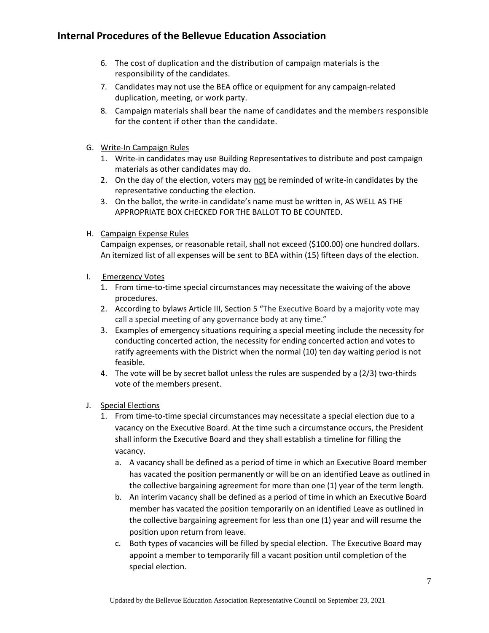- 6. The cost of duplication and the distribution of campaign materials is the responsibility of the candidates.
- 7. Candidates may not use the BEA office or equipment for any campaign-related duplication, meeting, or work party.
- 8. Campaign materials shall bear the name of candidates and the members responsible for the content if other than the candidate.
- G. Write-In Campaign Rules
	- 1. Write-in candidates may use Building Representatives to distribute and post campaign materials as other candidates may do.
	- 2. On the day of the election, voters may not be reminded of write-in candidates by the representative conducting the election.
	- 3. On the ballot, the write-in candidate's name must be written in, AS WELL AS THE APPROPRIATE BOX CHECKED FOR THE BALLOT TO BE COUNTED.
- H. Campaign Expense Rules

Campaign expenses, or reasonable retail, shall not exceed (\$100.00) one hundred dollars. An itemized list of all expenses will be sent to BEA within (15) fifteen days of the election.

- I. Emergency Votes
	- 1. From time-to-time special circumstances may necessitate the waiving of the above procedures.
	- 2. According to bylaws Article III, Section 5 "The Executive Board by a majority vote may call a special meeting of any governance body at any time."
	- 3. Examples of emergency situations requiring a special meeting include the necessity for conducting concerted action, the necessity for ending concerted action and votes to ratify agreements with the District when the normal (10) ten day waiting period is not feasible.
	- 4. The vote will be by secret ballot unless the rules are suspended by a (2/3) two-thirds vote of the members present.
- J. Special Elections
	- 1. From time-to-time special circumstances may necessitate a special election due to a vacancy on the Executive Board. At the time such a circumstance occurs, the President shall inform the Executive Board and they shall establish a timeline for filling the vacancy.
		- a. A vacancy shall be defined as a period of time in which an Executive Board member has vacated the position permanently or will be on an identified Leave as outlined in the collective bargaining agreement for more than one (1) year of the term length.
		- b. An interim vacancy shall be defined as a period of time in which an Executive Board member has vacated the position temporarily on an identified Leave as outlined in the collective bargaining agreement for less than one (1) year and will resume the position upon return from leave.
		- c. Both types of vacancies will be filled by special election. The Executive Board may appoint a member to temporarily fill a vacant position until completion of the special election.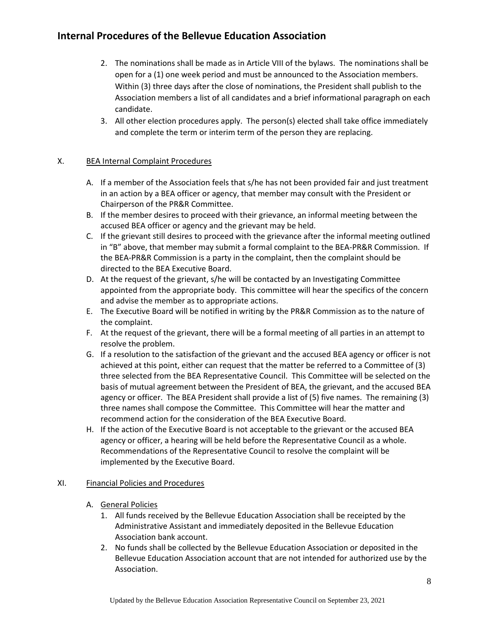- 2. The nominations shall be made as in Article VIII of the bylaws. The nominations shall be open for a (1) one week period and must be announced to the Association members. Within (3) three days after the close of nominations, the President shall publish to the Association members a list of all candidates and a brief informational paragraph on each candidate.
- 3. All other election procedures apply. The person(s) elected shall take office immediately and complete the term or interim term of the person they are replacing.

#### X. BEA Internal Complaint Procedures

- A. If a member of the Association feels that s/he has not been provided fair and just treatment in an action by a BEA officer or agency, that member may consult with the President or Chairperson of the PR&R Committee.
- B. If the member desires to proceed with their grievance, an informal meeting between the accused BEA officer or agency and the grievant may be held.
- C. If the grievant still desires to proceed with the grievance after the informal meeting outlined in "B" above, that member may submit a formal complaint to the BEA-PR&R Commission. If the BEA-PR&R Commission is a party in the complaint, then the complaint should be directed to the BEA Executive Board.
- D. At the request of the grievant, s/he will be contacted by an Investigating Committee appointed from the appropriate body. This committee will hear the specifics of the concern and advise the member as to appropriate actions.
- E. The Executive Board will be notified in writing by the PR&R Commission as to the nature of the complaint.
- F. At the request of the grievant, there will be a formal meeting of all parties in an attempt to resolve the problem.
- G. If a resolution to the satisfaction of the grievant and the accused BEA agency or officer is not achieved at this point, either can request that the matter be referred to a Committee of (3) three selected from the BEA Representative Council. This Committee will be selected on the basis of mutual agreement between the President of BEA, the grievant, and the accused BEA agency or officer. The BEA President shall provide a list of (5) five names. The remaining (3) three names shall compose the Committee. This Committee will hear the matter and recommend action for the consideration of the BEA Executive Board.
- H. If the action of the Executive Board is not acceptable to the grievant or the accused BEA agency or officer, a hearing will be held before the Representative Council as a whole. Recommendations of the Representative Council to resolve the complaint will be implemented by the Executive Board.

#### XI. Financial Policies and Procedures

- A. General Policies
	- 1. All funds received by the Bellevue Education Association shall be receipted by the Administrative Assistant and immediately deposited in the Bellevue Education Association bank account.
	- 2. No funds shall be collected by the Bellevue Education Association or deposited in the Bellevue Education Association account that are not intended for authorized use by the Association.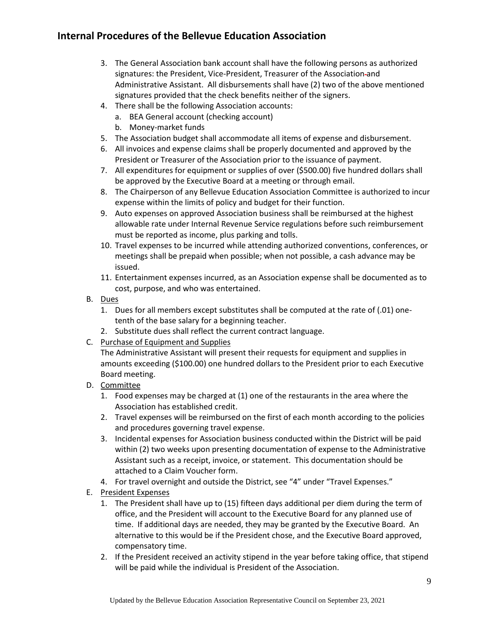- 3. The General Association bank account shall have the following persons as authorized signatures: the President, Vice-President, Treasurer of the Association and Administrative Assistant. All disbursements shall have (2) two of the above mentioned signatures provided that the check benefits neither of the signers.
- 4. There shall be the following Association accounts:
	- a. BEA General account (checking account)
	- b. Money-market funds
- 5. The Association budget shall accommodate all items of expense and disbursement.
- 6. All invoices and expense claims shall be properly documented and approved by the President or Treasurer of the Association prior to the issuance of payment.
- 7. All expenditures for equipment or supplies of over (\$500.00) five hundred dollars shall be approved by the Executive Board at a meeting or through email.
- 8. The Chairperson of any Bellevue Education Association Committee is authorized to incur expense within the limits of policy and budget for their function.
- 9. Auto expenses on approved Association business shall be reimbursed at the highest allowable rate under Internal Revenue Service regulations before such reimbursement must be reported as income, plus parking and tolls.
- 10. Travel expenses to be incurred while attending authorized conventions, conferences, or meetings shall be prepaid when possible; when not possible, a cash advance may be issued.
- 11. Entertainment expenses incurred, as an Association expense shall be documented as to cost, purpose, and who was entertained.
- B. Dues
	- 1. Dues for all members except substitutes shall be computed at the rate of (.01) onetenth of the base salary for a beginning teacher.
	- 2. Substitute dues shall reflect the current contract language.
- C. Purchase of Equipment and Supplies

The Administrative Assistant will present their requests for equipment and supplies in amounts exceeding (\$100.00) one hundred dollars to the President prior to each Executive Board meeting.

- D. Committee
	- 1. Food expenses may be charged at (1) one of the restaurants in the area where the Association has established credit.
	- 2. Travel expenses will be reimbursed on the first of each month according to the policies and procedures governing travel expense.
	- 3. Incidental expenses for Association business conducted within the District will be paid within (2) two weeks upon presenting documentation of expense to the Administrative Assistant such as a receipt, invoice, or statement. This documentation should be attached to a Claim Voucher form.
	- 4. For travel overnight and outside the District, see "4" under "Travel Expenses."
- E. President Expenses
	- 1. The President shall have up to (15) fifteen days additional per diem during the term of office, and the President will account to the Executive Board for any planned use of time. If additional days are needed, they may be granted by the Executive Board. An alternative to this would be if the President chose, and the Executive Board approved, compensatory time.
	- 2. If the President received an activity stipend in the year before taking office, that stipend will be paid while the individual is President of the Association.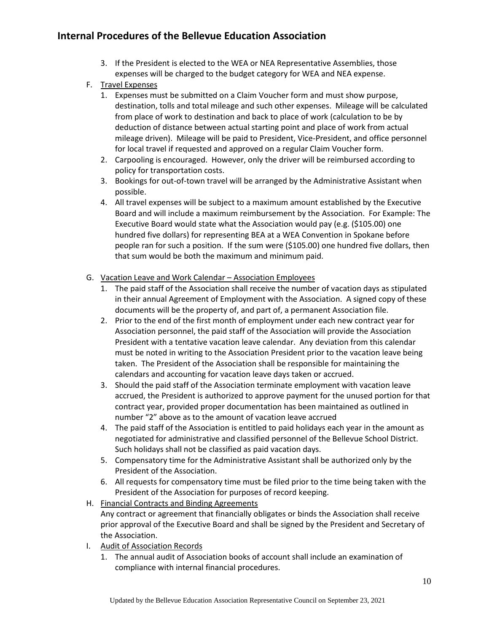- 3. If the President is elected to the WEA or NEA Representative Assemblies, those expenses will be charged to the budget category for WEA and NEA expense.
- F. Travel Expenses
	- 1. Expenses must be submitted on a Claim Voucher form and must show purpose, destination, tolls and total mileage and such other expenses. Mileage will be calculated from place of work to destination and back to place of work (calculation to be by deduction of distance between actual starting point and place of work from actual mileage driven). Mileage will be paid to President, Vice-President, and office personnel for local travel if requested and approved on a regular Claim Voucher form.
	- 2. Carpooling is encouraged. However, only the driver will be reimbursed according to policy for transportation costs.
	- 3. Bookings for out-of-town travel will be arranged by the Administrative Assistant when possible.
	- 4. All travel expenses will be subject to a maximum amount established by the Executive Board and will include a maximum reimbursement by the Association. For Example: The Executive Board would state what the Association would pay (e.g. (\$105.00) one hundred five dollars) for representing BEA at a WEA Convention in Spokane before people ran for such a position. If the sum were (\$105.00) one hundred five dollars, then that sum would be both the maximum and minimum paid.
- G. Vacation Leave and Work Calendar Association Employees
	- 1. The paid staff of the Association shall receive the number of vacation days as stipulated in their annual Agreement of Employment with the Association. A signed copy of these documents will be the property of, and part of, a permanent Association file.
	- 2. Prior to the end of the first month of employment under each new contract year for Association personnel, the paid staff of the Association will provide the Association President with a tentative vacation leave calendar. Any deviation from this calendar must be noted in writing to the Association President prior to the vacation leave being taken. The President of the Association shall be responsible for maintaining the calendars and accounting for vacation leave days taken or accrued.
	- 3. Should the paid staff of the Association terminate employment with vacation leave accrued, the President is authorized to approve payment for the unused portion for that contract year, provided proper documentation has been maintained as outlined in number "2" above as to the amount of vacation leave accrued
	- 4. The paid staff of the Association is entitled to paid holidays each year in the amount as negotiated for administrative and classified personnel of the Bellevue School District. Such holidays shall not be classified as paid vacation days.
	- 5. Compensatory time for the Administrative Assistant shall be authorized only by the President of the Association.
	- 6. All requests for compensatory time must be filed prior to the time being taken with the President of the Association for purposes of record keeping.
- H. Financial Contracts and Binding Agreements Any contract or agreement that financially obligates or binds the Association shall receive prior approval of the Executive Board and shall be signed by the President and Secretary of the Association.
- I. Audit of Association Records
	- 1. The annual audit of Association books of account shall include an examination of compliance with internal financial procedures.